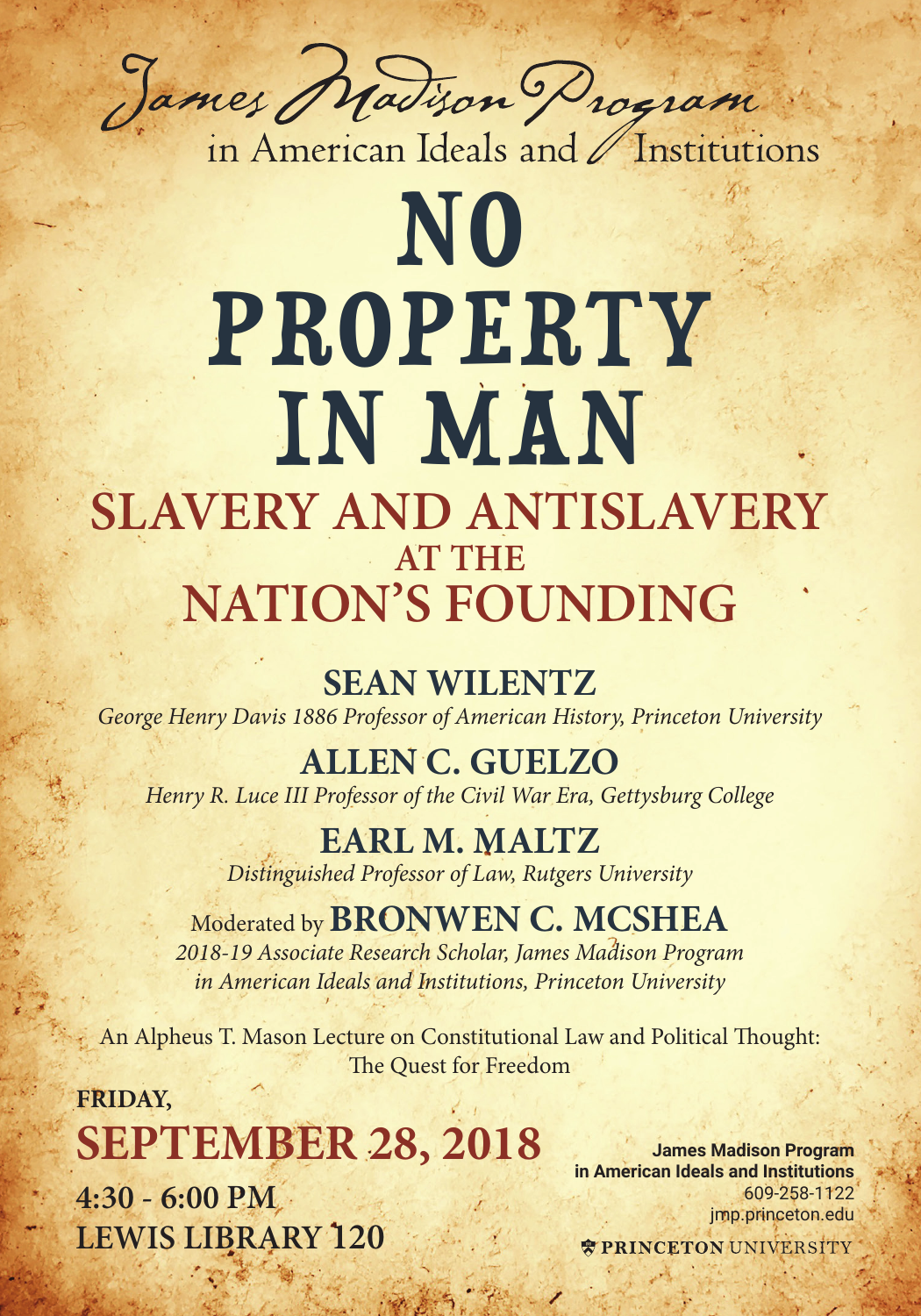

in American Ideals and / Institutions

## NO PROPERTY IN MAN **SLAVERY AND ANTISLAVERY AT THE NATION'S FOUNDING**

**SEAN WILENTZ**  *George Henry Davis 1886 Professor of American History, Princeton University* 

**ALLEN C. GUELZO** *Henry R. Luce III Professor of the Civil War Era, Gettysburg College*

> **EARL M. MALTZ** *Distinguished Professor of Law, Rutgers University*

Moderated by **BRONWEN C. MCSHEA** *2018-19 Associate Research Scholar, James Madison Program in American Ideals and Institutions, Princeton University*

An Alpheus T. Mason Lecture on Constitutional Law and Political Thought: The Quest for Freedom

**FRIDAY, SEPTEMBER 28, 2018 4:30 - 6:00 PM LEWIS LIBRARY 120**

**James Madison Program in American Ideals and Institutions** 609-258-1122 jmp.princeton.edu

**TRINCETON UNIVERSITY**